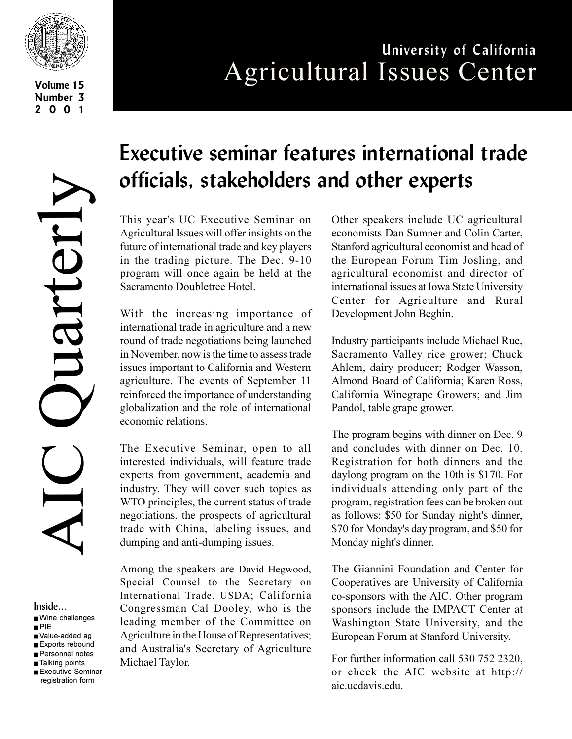

**Volume 15 Number 3 2001**

# **University of California** Agricultural Issues Center

AIC Quarterly Juarterly 

Inside... ■ Wine challenges ■ PIE ■ Value-added ag

- Exports rebound
- Personnel notes
- Talking points
- Executive Seminar registration form

# **Executive seminar features international trade officials, stakeholders and other experts**

This year's UC Executive Seminar on Agricultural Issues will offer insights on the future of international trade and key players in the trading picture. The Dec. 9-10 program will once again be held at the Sacramento Doubletree Hotel.

With the increasing importance of international trade in agriculture and a new round of trade negotiations being launched in November, now is the time to assess trade issues important to California and Western agriculture. The events of September 11 reinforced the importance of understanding globalization and the role of international economic relations.

The Executive Seminar, open to all interested individuals, will feature trade experts from government, academia and industry. They will cover such topics as WTO principles, the current status of trade negotiations, the prospects of agricultural trade with China, labeling issues, and dumping and anti-dumping issues.

Among the speakers are David Hegwood, Special Counsel to the Secretary on International Trade, USDA; California Congressman Cal Dooley, who is the leading member of the Committee on Agriculture in the House of Representatives; and Australia's Secretary of Agriculture Michael Taylor.

Other speakers include UC agricultural economists Dan Sumner and Colin Carter, Stanford agricultural economist and head of the European Forum Tim Josling, and agricultural economist and director of international issues at Iowa State University Center for Agriculture and Rural Development John Beghin.

Industry participants include Michael Rue, Sacramento Valley rice grower; Chuck Ahlem, dairy producer; Rodger Wasson, Almond Board of California; Karen Ross, California Winegrape Growers; and Jim Pandol, table grape grower.

The program begins with dinner on Dec. 9 and concludes with dinner on Dec. 10. Registration for both dinners and the daylong program on the 10th is \$170. For individuals attending only part of the program, registration fees can be broken out as follows: \$50 for Sunday night's dinner, \$70 for Monday's day program, and \$50 for Monday night's dinner.

The Giannini Foundation and Center for Cooperatives are University of California co-sponsors with the AIC. Other program sponsors include the IMPACT Center at Washington State University, and the European Forum at Stanford University.

For further information call 530 752 2320, or check the AIC website at http:// aic.ucdavis.edu.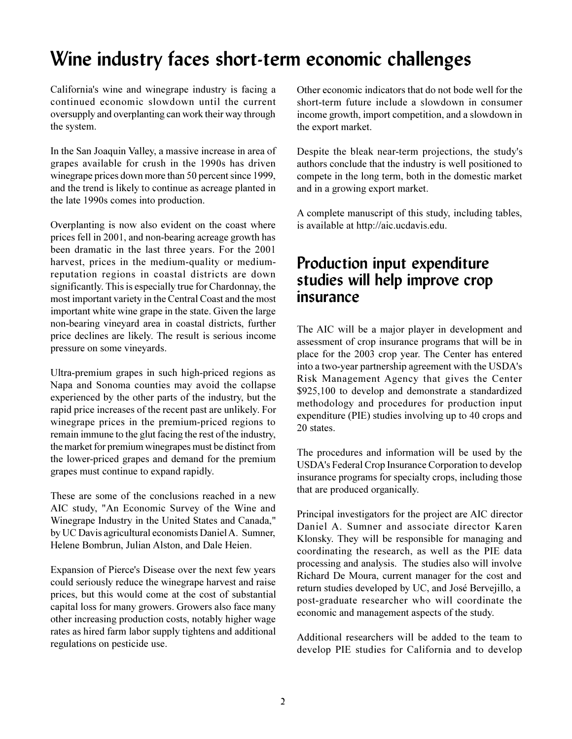## **Wine industry faces short-term economic challenges**

California's wine and winegrape industry is facing a continued economic slowdown until the current oversupply and overplanting can work their way through the system.

In the San Joaquin Valley, a massive increase in area of grapes available for crush in the 1990s has driven winegrape prices down more than 50 percent since 1999, and the trend is likely to continue as acreage planted in the late 1990s comes into production.

Overplanting is now also evident on the coast where prices fell in 2001, and non-bearing acreage growth has been dramatic in the last three years. For the 2001 harvest, prices in the medium-quality or mediumreputation regions in coastal districts are down significantly. This is especially true for Chardonnay, the most important variety in the Central Coast and the most important white wine grape in the state. Given the large non-bearing vineyard area in coastal districts, further price declines are likely. The result is serious income pressure on some vineyards.

Ultra-premium grapes in such high-priced regions as Napa and Sonoma counties may avoid the collapse experienced by the other parts of the industry, but the rapid price increases of the recent past are unlikely. For winegrape prices in the premium-priced regions to remain immune to the glut facing the rest of the industry, the market for premium winegrapes must be distinct from the lower-priced grapes and demand for the premium grapes must continue to expand rapidly.

These are some of the conclusions reached in a new AIC study, "An Economic Survey of the Wine and Winegrape Industry in the United States and Canada," by UC Davis agricultural economists Daniel A. Sumner, Helene Bombrun, Julian Alston, and Dale Heien.

Expansion of Pierce's Disease over the next few years could seriously reduce the winegrape harvest and raise prices, but this would come at the cost of substantial capital loss for many growers. Growers also face many other increasing production costs, notably higher wage rates as hired farm labor supply tightens and additional regulations on pesticide use.

Other economic indicators that do not bode well for the short-term future include a slowdown in consumer income growth, import competition, and a slowdown in the export market.

Despite the bleak near-term projections, the study's authors conclude that the industry is well positioned to compete in the long term, both in the domestic market and in a growing export market.

A complete manuscript of this study, including tables, is available at http://aic.ucdavis.edu.

#### **Production input expenditure studies will help improve crop insurance**

The AIC will be a major player in development and assessment of crop insurance programs that will be in place for the 2003 crop year. The Center has entered into a two-year partnership agreement with the USDA's Risk Management Agency that gives the Center \$925,100 to develop and demonstrate a standardized methodology and procedures for production input expenditure (PIE) studies involving up to 40 crops and 20 states.

The procedures and information will be used by the USDA's Federal Crop Insurance Corporation to develop insurance programs for specialty crops, including those that are produced organically.

Principal investigators for the project are AIC director Daniel A. Sumner and associate director Karen Klonsky. They will be responsible for managing and coordinating the research, as well as the PIE data processing and analysis. The studies also will involve Richard De Moura, current manager for the cost and return studies developed by UC, and José Bervejillo, a post-graduate researcher who will coordinate the economic and management aspects of the study.

Additional researchers will be added to the team to develop PIE studies for California and to develop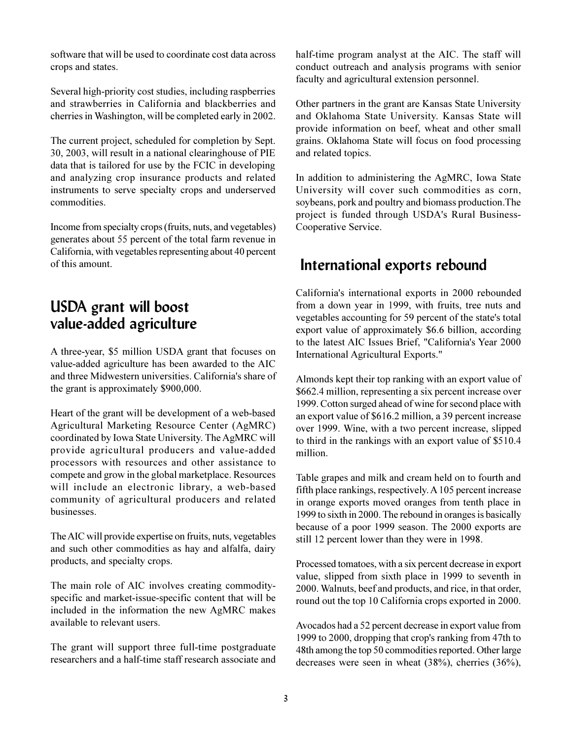software that will be used to coordinate cost data across crops and states.

Several high-priority cost studies, including raspberries and strawberries in California and blackberries and cherries in Washington, will be completed early in 2002.

The current project, scheduled for completion by Sept. 30, 2003, will result in a national clearinghouse of PIE data that is tailored for use by the FCIC in developing and analyzing crop insurance products and related instruments to serve specialty crops and underserved commodities.

Income from specialty crops (fruits, nuts, and vegetables) generates about 55 percent of the total farm revenue in California, with vegetables representing about 40 percent of this amount.

#### **USDA grant will boost value-added agriculture**

A three-year, \$5 million USDA grant that focuses on value-added agriculture has been awarded to the AIC and three Midwestern universities. California's share of the grant is approximately \$900,000.

Heart of the grant will be development of a web-based Agricultural Marketing Resource Center (AgMRC) coordinated by Iowa State University. The AgMRC will provide agricultural producers and value-added processors with resources and other assistance to compete and grow in the global marketplace. Resources will include an electronic library, a web-based community of agricultural producers and related businesses.

The AIC will provide expertise on fruits, nuts, vegetables and such other commodities as hay and alfalfa, dairy products, and specialty crops.

The main role of AIC involves creating commodityspecific and market-issue-specific content that will be included in the information the new AgMRC makes available to relevant users.

The grant will support three full-time postgraduate researchers and a half-time staff research associate and half-time program analyst at the AIC. The staff will conduct outreach and analysis programs with senior faculty and agricultural extension personnel.

Other partners in the grant are Kansas State University and Oklahoma State University. Kansas State will provide information on beef, wheat and other small grains. Oklahoma State will focus on food processing and related topics.

In addition to administering the AgMRC, Iowa State University will cover such commodities as corn, soybeans, pork and poultry and biomass production.The project is funded through USDA's Rural Business-Cooperative Service.

#### **International exports rebound**

California's international exports in 2000 rebounded from a down year in 1999, with fruits, tree nuts and vegetables accounting for 59 percent of the state's total export value of approximately \$6.6 billion, according to the latest AIC Issues Brief, "California's Year 2000 International Agricultural Exports."

Almonds kept their top ranking with an export value of \$662.4 million, representing a six percent increase over 1999. Cotton surged ahead of wine for second place with an export value of \$616.2 million, a 39 percent increase over 1999. Wine, with a two percent increase, slipped to third in the rankings with an export value of \$510.4 million.

Table grapes and milk and cream held on to fourth and fifth place rankings, respectively. A 105 percent increase in orange exports moved oranges from tenth place in 1999 to sixth in 2000. The rebound in oranges is basically because of a poor 1999 season. The 2000 exports are still 12 percent lower than they were in 1998.

Processed tomatoes, with a six percent decrease in export value, slipped from sixth place in 1999 to seventh in 2000. Walnuts, beef and products, and rice, in that order, round out the top 10 California crops exported in 2000.

Avocados had a 52 percent decrease in export value from 1999 to 2000, dropping that crop's ranking from 47th to 48th among the top 50 commodities reported. Other large decreases were seen in wheat (38%), cherries (36%),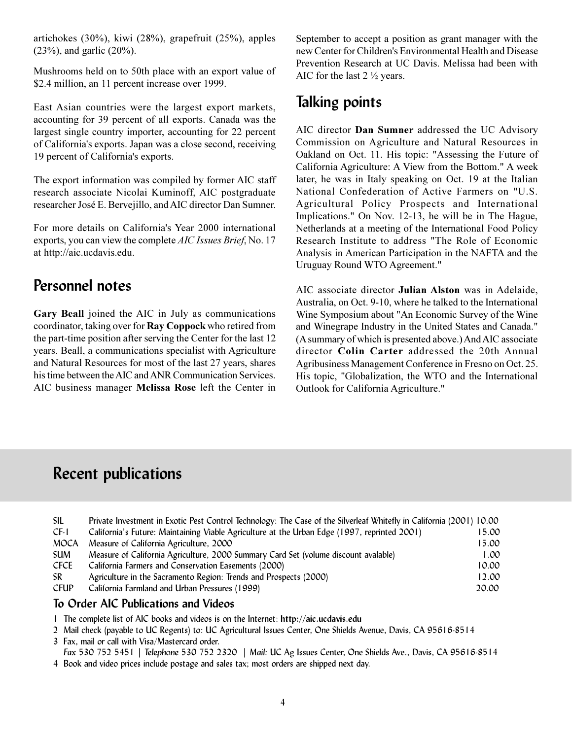artichokes (30%), kiwi (28%), grapefruit (25%), apples (23%), and garlic (20%).

Mushrooms held on to 50th place with an export value of \$2.4 million, an 11 percent increase over 1999.

East Asian countries were the largest export markets, accounting for 39 percent of all exports. Canada was the largest single country importer, accounting for 22 percent of California's exports. Japan was a close second, receiving 19 percent of California's exports.

The export information was compiled by former AIC staff research associate Nicolai Kuminoff, AIC postgraduate researcher José E. Bervejillo, and AIC director Dan Sumner.

For more details on California's Year 2000 international exports, you can view the complete *AIC Issues Brief*, No. 17 at http://aic.ucdavis.edu.

#### **Personnel notes**

**Gary Beall** joined the AIC in July as communications coordinator, taking over for **Ray Coppock** who retired from the part-time position after serving the Center for the last 12 years. Beall, a communications specialist with Agriculture and Natural Resources for most of the last 27 years, shares his time between the AIC and ANR Communication Services. AIC business manager **Melissa Rose** left the Center in September to accept a position as grant manager with the new Center for Children's Environmental Health and Disease Prevention Research at UC Davis. Melissa had been with AIC for the last 2 ½ years.

### **Talking points**

AIC director **Dan Sumner** addressed the UC Advisory Commission on Agriculture and Natural Resources in Oakland on Oct. 11. His topic: "Assessing the Future of California Agriculture: A View from the Bottom." A week later, he was in Italy speaking on Oct. 19 at the Italian National Confederation of Active Farmers on "U.S. Agricultural Policy Prospects and International Implications." On Nov. 12-13, he will be in The Hague, Netherlands at a meeting of the International Food Policy Research Institute to address "The Role of Economic Analysis in American Participation in the NAFTA and the Uruguay Round WTO Agreement."

AIC associate director **Julian Alston** was in Adelaide, Australia, on Oct. 9-10, where he talked to the International Wine Symposium about "An Economic Survey of the Wine and Winegrape Industry in the United States and Canada." (A summary of which is presented above.) And AIC associate director **Colin Carter** addressed the 20th Annual Agribusiness Management Conference in Fresno on Oct. 25. His topic, "Globalization, the WTO and the International Outlook for California Agriculture."

## **Recent publications**

| California's Future: Maintaining Viable Agriculture at the Urban Edge (1997, reprinted 2001) | 15.00                                                                                                                |
|----------------------------------------------------------------------------------------------|----------------------------------------------------------------------------------------------------------------------|
| Measure of California Agriculture, 2000                                                      | 15.00                                                                                                                |
| Measure of California Agriculture, 2000 Summary Card Set (volume discount avalable)          | 1.00                                                                                                                 |
| California Farmers and Conservation Easements (2000)                                         | 10.00                                                                                                                |
| Agriculture in the Sacramento Region: Trends and Prospects (2000)                            | 12.00                                                                                                                |
| California Farmland and Urban Pressures (1999)                                               | 20.00                                                                                                                |
|                                                                                              | Private Investment in Exotic Pest Control Technology: The Case of the Silverleaf Whitefly in California (2001) 10.00 |

#### **To Order AIC Publications and Videos**

- 1 The complete list of AIC books and videos is on the Internet: **http://aic.ucdavis.edu**
- 2 Mail check (payable to UC Regents) to: UC Agricultural Issues Center, One Shields Avenue, Davis, CA 95616-8514
- 3 Fax, mail or call with Visa/Mastercard order.

 *Fax* 530 752 5451 *| Telephone* 530 752 2320 *| Mail:* UC Ag Issues Center, One Shields Ave., Davis, CA 95616-8514 4 Book and video prices include postage and sales tax; most orders are shipped next day.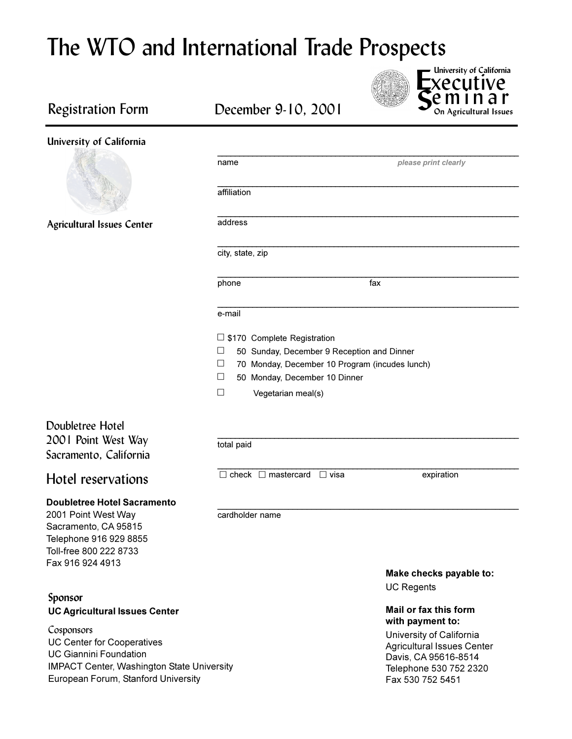# The WTO and International Trade Prospects

**S** ecutive<br>minar **On Agricultural Issues University of California**

#### Registration Form



|                                                                                                                                                           | name                                                                                                                                                                                                          | please print clearly                         |
|-----------------------------------------------------------------------------------------------------------------------------------------------------------|---------------------------------------------------------------------------------------------------------------------------------------------------------------------------------------------------------------|----------------------------------------------|
|                                                                                                                                                           | affiliation                                                                                                                                                                                                   |                                              |
| Agricultural Issues Center                                                                                                                                | address                                                                                                                                                                                                       |                                              |
|                                                                                                                                                           | city, state, zip                                                                                                                                                                                              |                                              |
|                                                                                                                                                           | phone                                                                                                                                                                                                         | fax                                          |
|                                                                                                                                                           | e-mail                                                                                                                                                                                                        |                                              |
|                                                                                                                                                           | $\Box$ \$170 Complete Registration<br>□<br>50 Sunday, December 9 Reception and Dinner<br>□<br>70 Monday, December 10 Program (incudes lunch)<br>□<br>50 Monday, December 10 Dinner<br>□<br>Vegetarian meal(s) |                                              |
| Doubletree Hotel<br>2001 Point West Way<br>Sacramento, California                                                                                         | total paid                                                                                                                                                                                                    |                                              |
| Hotel reservations                                                                                                                                        | $\Box$ check $\Box$ mastercard $\Box$ visa                                                                                                                                                                    | expiration                                   |
| <b>Doubletree Hotel Sacramento</b><br>2001 Point West Way<br>Sacramento, CA 95815<br>Telephone 916 929 8855<br>Toll-free 800 222 8733<br>Fax 916 924 4913 | cardholder name                                                                                                                                                                                               |                                              |
|                                                                                                                                                           |                                                                                                                                                                                                               | Make checks payable to:<br><b>UC Regents</b> |
| Sponsor<br><b>UC Agricultural Issues Center</b>                                                                                                           |                                                                                                                                                                                                               | Mail or fax this form<br>with payment to:    |
| Concorone                                                                                                                                                 |                                                                                                                                                                                                               |                                              |

Cosponsors UC Center for Cooperatives UC Giannini Foundation IMPACT Center, Washington State University European Forum, Stanford University

University of California Agricultural Issues Center Davis, CA 95616-8514 Telephone 530 752 2320 Fax 530 752 5451

## December 9-10, 2001